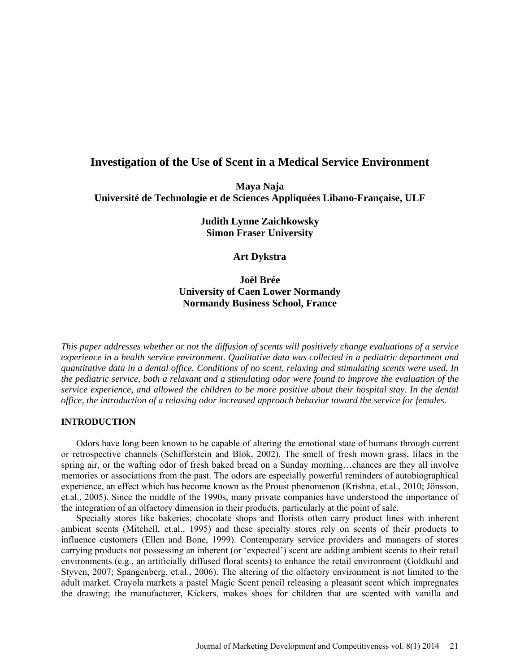# **Investigation of the Use of Scent in a Medical Service Environment**

**Maya Naja Université de Technologie et de Sciences Appliquées Libano-Française, ULF**

> **Judith Lynne Zaichkowsky Simon Fraser University**

> > **Art Dykstra**

**Joël Brée University of Caen Lower Normandy Normandy Business School, France**

*This paper addresses whether or not the diffusion of scents will positively change evaluations of a service experience in a health service environment. Qualitative data was collected in a pediatric department and quantitative data in a dental office. Conditions of no scent, relaxing and stimulating scents were used. In the pediatric service, both a relaxant and a stimulating odor were found to improve the evaluation of the service experience, and allowed the children to be more positive about their hospital stay. In the dental office, the introduction of a relaxing odor increased approach behavior toward the service for females.* 

# **INTRODUCTION**

Odors have long been known to be capable of altering the emotional state of humans through current or retrospective channels (Schifferstein and Blok, 2002). The smell of fresh mown grass, lilacs in the spring air, or the wafting odor of fresh baked bread on a Sunday morning…chances are they all involve memories or associations from the past. The odors are especially powerful reminders of autobiographical experience, an effect which has become known as the Proust phenomenon (Krishna, et.al., 2010; Jönsson, et.al., 2005). Since the middle of the 1990s, many private companies have understood the importance of the integration of an olfactory dimension in their products, particularly at the point of sale.

Specialty stores like bakeries, chocolate shops and florists often carry product lines with inherent ambient scents (Mitchell, et.al., 1995) and these specialty stores rely on scents of their products to influence customers (Ellen and Bone, 1999). Contemporary service providers and managers of stores carrying products not possessing an inherent (or 'expected') scent are adding ambient scents to their retail environments (e.g., an artificially diffused floral scents) to enhance the retail environment (Goldkuhl and Styven, 2007; Spangenberg, et.al., 2006). The altering of the olfactory environment is not limited to the adult market. Crayola markets a pastel Magic Scent pencil releasing a pleasant scent which impregnates the drawing; the manufacturer, Kickers, makes shoes for children that are scented with vanilla and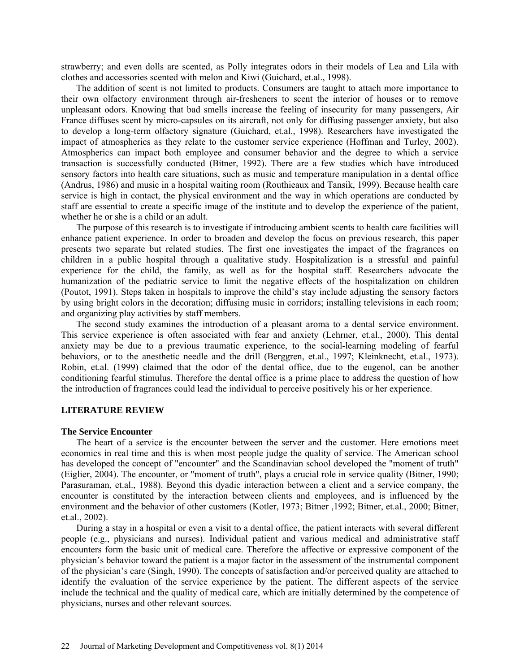strawberry; and even dolls are scented, as Polly integrates odors in their models of Lea and Lila with clothes and accessories scented with melon and Kiwi (Guichard, et.al., 1998).

The addition of scent is not limited to products. Consumers are taught to attach more importance to their own olfactory environment through air-fresheners to scent the interior of houses or to remove unpleasant odors. Knowing that bad smells increase the feeling of insecurity for many passengers, Air France diffuses scent by micro-capsules on its aircraft, not only for diffusing passenger anxiety, but also to develop a long-term olfactory signature (Guichard, et.al., 1998). Researchers have investigated the impact of atmospherics as they relate to the customer service experience (Hoffman and Turley, 2002). Atmospherics can impact both employee and consumer behavior and the degree to which a service transaction is successfully conducted (Bitner, 1992). There are a few studies which have introduced sensory factors into health care situations, such as music and temperature manipulation in a dental office (Andrus, 1986) and music in a hospital waiting room (Routhieaux and Tansik, 1999). Because health care service is high in contact, the physical environment and the way in which operations are conducted by staff are essential to create a specific image of the institute and to develop the experience of the patient, whether he or she is a child or an adult.

The purpose of this research is to investigate if introducing ambient scents to health care facilities will enhance patient experience. In order to broaden and develop the focus on previous research, this paper presents two separate but related studies. The first one investigates the impact of the fragrances on children in a public hospital through a qualitative study. Hospitalization is a stressful and painful experience for the child, the family, as well as for the hospital staff. Researchers advocate the humanization of the pediatric service to limit the negative effects of the hospitalization on children (Poutot, 1991). Steps taken in hospitals to improve the child's stay include adjusting the sensory factors by using bright colors in the decoration; diffusing music in corridors; installing televisions in each room; and organizing play activities by staff members.

The second study examines the introduction of a pleasant aroma to a dental service environment. This service experience is often associated with fear and anxiety (Lehrner, et.al., 2000). This dental anxiety may be due to a previous traumatic experience, to the social-learning modeling of fearful behaviors, or to the anesthetic needle and the drill (Berggren, et.al., 1997; Kleinknecht, et.al., 1973). Robin, et.al. (1999) claimed that the odor of the dental office, due to the eugenol, can be another conditioning fearful stimulus. Therefore the dental office is a prime place to address the question of how the introduction of fragrances could lead the individual to perceive positively his or her experience.

#### **LITERATURE REVIEW**

#### **The Service Encounter**

The heart of a service is the encounter between the server and the customer. Here emotions meet economics in real time and this is when most people judge the quality of service. The American school has developed the concept of "encounter" and the Scandinavian school developed the "moment of truth" (Eiglier, 2004). The encounter, or "moment of truth", plays a crucial role in service quality (Bitner, 1990; Parasuraman, et.al., 1988). Beyond this dyadic interaction between a client and a service company, the encounter is constituted by the interaction between clients and employees, and is influenced by the environment and the behavior of other customers (Kotler, 1973; Bitner, 1992; Bitner, et.al., 2000; Bitner, et.al., 2002).

During a stay in a hospital or even a visit to a dental office, the patient interacts with several different people (e.g., physicians and nurses). Individual patient and various medical and administrative staff encounters form the basic unit of medical care. Therefore the affective or expressive component of the physician's behavior toward the patient is a major factor in the assessment of the instrumental component of the physician's care (Singh, 1990). The concepts of satisfaction and/or perceived quality are attached to identify the evaluation of the service experience by the patient. The different aspects of the service include the technical and the quality of medical care, which are initially determined by the competence of physicians, nurses and other relevant sources.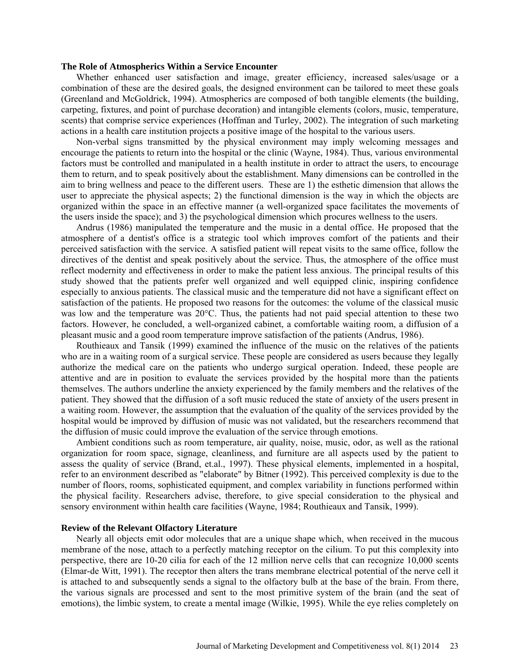#### **The Role of Atmospherics Within a Service Encounter**

Whether enhanced user satisfaction and image, greater efficiency, increased sales/usage or a combination of these are the desired goals, the designed environment can be tailored to meet these goals (Greenland and McGoldrick, 1994). Atmospherics are composed of both tangible elements (the building, carpeting, fixtures, and point of purchase decoration) and intangible elements (colors, music, temperature, scents) that comprise service experiences (Hoffman and Turley, 2002). The integration of such marketing actions in a health care institution projects a positive image of the hospital to the various users.

Non-verbal signs transmitted by the physical environment may imply welcoming messages and encourage the patients to return into the hospital or the clinic (Wayne, 1984). Thus, various environmental factors must be controlled and manipulated in a health institute in order to attract the users, to encourage them to return, and to speak positively about the establishment. Many dimensions can be controlled in the aim to bring wellness and peace to the different users. These are 1) the esthetic dimension that allows the user to appreciate the physical aspects; 2) the functional dimension is the way in which the objects are organized within the space in an effective manner (a well-organized space facilitates the movements of the users inside the space); and 3) the psychological dimension which procures wellness to the users.

Andrus (1986) manipulated the temperature and the music in a dental office. He proposed that the atmosphere of a dentist's office is a strategic tool which improves comfort of the patients and their perceived satisfaction with the service. A satisfied patient will repeat visits to the same office, follow the directives of the dentist and speak positively about the service. Thus, the atmosphere of the office must reflect modernity and effectiveness in order to make the patient less anxious. The principal results of this study showed that the patients prefer well organized and well equipped clinic, inspiring confidence especially to anxious patients. The classical music and the temperature did not have a significant effect on satisfaction of the patients. He proposed two reasons for the outcomes: the volume of the classical music was low and the temperature was 20°C. Thus, the patients had not paid special attention to these two factors. However, he concluded, a well-organized cabinet, a comfortable waiting room, a diffusion of a pleasant music and a good room temperature improve satisfaction of the patients (Andrus, 1986).

Routhieaux and Tansik (1999) examined the influence of the music on the relatives of the patients who are in a waiting room of a surgical service. These people are considered as users because they legally authorize the medical care on the patients who undergo surgical operation. Indeed, these people are attentive and are in position to evaluate the services provided by the hospital more than the patients themselves. The authors underline the anxiety experienced by the family members and the relatives of the patient. They showed that the diffusion of a soft music reduced the state of anxiety of the users present in a waiting room. However, the assumption that the evaluation of the quality of the services provided by the hospital would be improved by diffusion of music was not validated, but the researchers recommend that the diffusion of music could improve the evaluation of the service through emotions.

Ambient conditions such as room temperature, air quality, noise, music, odor, as well as the rational organization for room space, signage, cleanliness, and furniture are all aspects used by the patient to assess the quality of service (Brand, et.al., 1997). These physical elements, implemented in a hospital, refer to an environment described as "elaborate" by Bitner (1992). This perceived complexity is due to the number of floors, rooms, sophisticated equipment, and complex variability in functions performed within the physical facility. Researchers advise, therefore, to give special consideration to the physical and sensory environment within health care facilities (Wayne, 1984; Routhieaux and Tansik, 1999).

#### **Review of the Relevant Olfactory Literature**

Nearly all objects emit odor molecules that are a unique shape which, when received in the mucous membrane of the nose, attach to a perfectly matching receptor on the cilium. To put this complexity into perspective, there are 10-20 cilia for each of the 12 million nerve cells that can recognize 10,000 scents (Elmar-de Witt, 1991). The receptor then alters the trans membrane electrical potential of the nerve cell it is attached to and subsequently sends a signal to the olfactory bulb at the base of the brain. From there, the various signals are processed and sent to the most primitive system of the brain (and the seat of emotions), the limbic system, to create a mental image (Wilkie, 1995). While the eye relies completely on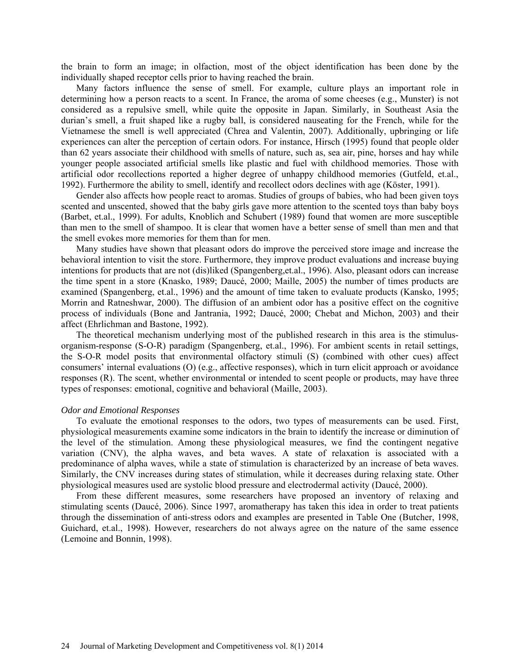the brain to form an image; in olfaction, most of the object identification has been done by the individually shaped receptor cells prior to having reached the brain.

Many factors influence the sense of smell. For example, culture plays an important role in determining how a person reacts to a scent. In France, the aroma of some cheeses (e.g., Munster) is not considered as a repulsive smell, while quite the opposite in Japan. Similarly, in Southeast Asia the durian's smell, a fruit shaped like a rugby ball, is considered nauseating for the French, while for the Vietnamese the smell is well appreciated (Chrea and Valentin, 2007). Additionally, upbringing or life experiences can alter the perception of certain odors. For instance, Hirsch (1995) found that people older than 62 years associate their childhood with smells of nature, such as, sea air, pine, horses and hay while younger people associated artificial smells like plastic and fuel with childhood memories. Those with artificial odor recollections reported a higher degree of unhappy childhood memories (Gutfeld, et.al., 1992). Furthermore the ability to smell, identify and recollect odors declines with age (Köster, 1991).

Gender also affects how people react to aromas. Studies of groups of babies, who had been given toys scented and unscented, showed that the baby girls gave more attention to the scented toys than baby boys (Barbet, et.al., 1999). For adults, Knoblich and Schubert (1989) found that women are more susceptible than men to the smell of shampoo. It is clear that women have a better sense of smell than men and that the smell evokes more memories for them than for men.

Many studies have shown that pleasant odors do improve the perceived store image and increase the behavioral intention to visit the store. Furthermore, they improve product evaluations and increase buying intentions for products that are not (dis)liked (Spangenberg,et.al., 1996). Also, pleasant odors can increase the time spent in a store (Knasko, 1989; Daucé, 2000; Maille, 2005) the number of times products are examined (Spangenberg, et.al., 1996) and the amount of time taken to evaluate products (Kansko, 1995; Morrin and Ratneshwar, 2000). The diffusion of an ambient odor has a positive effect on the cognitive process of individuals (Bone and Jantrania, 1992; Daucé, 2000; Chebat and Michon, 2003) and their affect (Ehrlichman and Bastone, 1992).

The theoretical mechanism underlying most of the published research in this area is the stimulusorganism-response (S-O-R) paradigm (Spangenberg, et.al., 1996). For ambient scents in retail settings, the S-O-R model posits that environmental olfactory stimuli (S) (combined with other cues) affect consumers' internal evaluations (O) (e.g., affective responses), which in turn elicit approach or avoidance responses (R). The scent, whether environmental or intended to scent people or products, may have three types of responses: emotional, cognitive and behavioral (Maille, 2003).

#### *Odor and Emotional Responses*

To evaluate the emotional responses to the odors, two types of measurements can be used. First, physiological measurements examine some indicators in the brain to identify the increase or diminution of the level of the stimulation. Among these physiological measures, we find the contingent negative variation (CNV), the alpha waves, and beta waves. A state of relaxation is associated with a predominance of alpha waves, while a state of stimulation is characterized by an increase of beta waves. Similarly, the CNV increases during states of stimulation, while it decreases during relaxing state. Other physiological measures used are systolic blood pressure and electrodermal activity (Daucé, 2000).

From these different measures, some researchers have proposed an inventory of relaxing and stimulating scents (Daucé, 2006). Since 1997, aromatherapy has taken this idea in order to treat patients through the dissemination of anti-stress odors and examples are presented in Table One (Butcher, 1998, Guichard, et.al., 1998). However, researchers do not always agree on the nature of the same essence (Lemoine and Bonnin, 1998).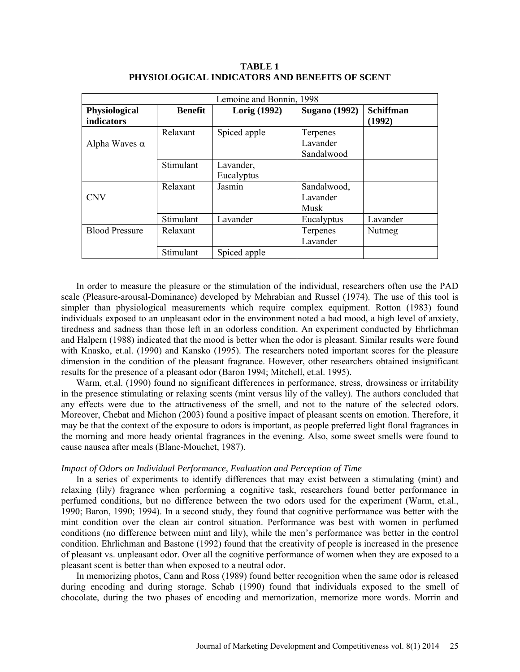| Lemoine and Bonnin, 1998 |                |              |                      |                  |
|--------------------------|----------------|--------------|----------------------|------------------|
| <b>Physiological</b>     | <b>Benefit</b> | Lorig (1992) | <b>Sugano</b> (1992) | <b>Schiffman</b> |
| <b>indicators</b>        |                |              |                      | (1992)           |
|                          | Relaxant       | Spiced apple | Terpenes             |                  |
| Alpha Waves $\alpha$     |                |              | Lavander             |                  |
|                          |                |              | Sandalwood           |                  |
|                          | Stimulant      | Lavander,    |                      |                  |
|                          |                | Eucalyptus   |                      |                  |
|                          | Relaxant       | Jasmin       | Sandalwood,          |                  |
| <b>CNV</b>               |                |              | Lavander             |                  |
|                          |                |              | Musk                 |                  |
|                          | Stimulant      | Lavander     | Eucalyptus           | Lavander         |
| <b>Blood Pressure</b>    | Relaxant       |              | Terpenes             | Nutmeg           |
|                          |                |              | Lavander             |                  |
|                          | Stimulant      | Spiced apple |                      |                  |

# **TABLE 1 PHYSIOLOGICAL INDICATORS AND BENEFITS OF SCENT**

In order to measure the pleasure or the stimulation of the individual, researchers often use the PAD scale (Pleasure-arousal-Dominance) developed by Mehrabian and Russel (1974). The use of this tool is simpler than physiological measurements which require complex equipment. Rotton (1983) found individuals exposed to an unpleasant odor in the environment noted a bad mood, a high level of anxiety, tiredness and sadness than those left in an odorless condition. An experiment conducted by Ehrlichman and Halpern (1988) indicated that the mood is better when the odor is pleasant. Similar results were found with Knasko, et.al. (1990) and Kansko (1995). The researchers noted important scores for the pleasure dimension in the condition of the pleasant fragrance. However, other researchers obtained insignificant results for the presence of a pleasant odor (Baron 1994; Mitchell, et.al. 1995).

Warm, et.al. (1990) found no significant differences in performance, stress, drowsiness or irritability in the presence stimulating or relaxing scents (mint versus lily of the valley). The authors concluded that any effects were due to the attractiveness of the smell, and not to the nature of the selected odors. Moreover, Chebat and Michon (2003) found a positive impact of pleasant scents on emotion. Therefore, it may be that the context of the exposure to odors is important, as people preferred light floral fragrances in the morning and more heady oriental fragrances in the evening. Also, some sweet smells were found to cause nausea after meals (Blanc-Mouchet, 1987).

#### *Impact of Odors on Individual Performance, Evaluation and Perception of Time*

In a series of experiments to identify differences that may exist between a stimulating (mint) and relaxing (lily) fragrance when performing a cognitive task, researchers found better performance in perfumed conditions, but no difference between the two odors used for the experiment (Warm, et.al., 1990; Baron, 1990; 1994). In a second study, they found that cognitive performance was better with the mint condition over the clean air control situation. Performance was best with women in perfumed conditions (no difference between mint and lily), while the men's performance was better in the control condition. Ehrlichman and Bastone (1992) found that the creativity of people is increased in the presence of pleasant vs. unpleasant odor. Over all the cognitive performance of women when they are exposed to a pleasant scent is better than when exposed to a neutral odor.

In memorizing photos, Cann and Ross (1989) found better recognition when the same odor is released during encoding and during storage. Schab (1990) found that individuals exposed to the smell of chocolate, during the two phases of encoding and memorization, memorize more words. Morrin and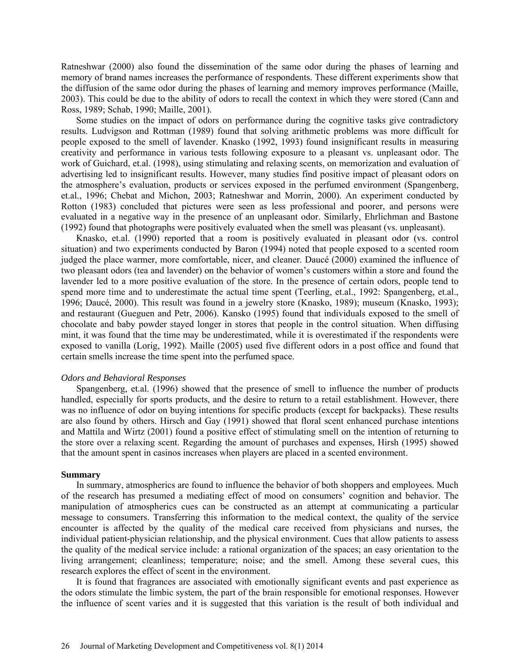Ratneshwar (2000) also found the dissemination of the same odor during the phases of learning and memory of brand names increases the performance of respondents. These different experiments show that the diffusion of the same odor during the phases of learning and memory improves performance (Maille, 2003). This could be due to the ability of odors to recall the context in which they were stored (Cann and Ross, 1989; Schab, 1990; Maille, 2001).

Some studies on the impact of odors on performance during the cognitive tasks give contradictory results. Ludvigson and Rottman (1989) found that solving arithmetic problems was more difficult for people exposed to the smell of lavender. Knasko (1992, 1993) found insignificant results in measuring creativity and performance in various tests following exposure to a pleasant vs. unpleasant odor. The work of Guichard, et.al. (1998), using stimulating and relaxing scents, on memorization and evaluation of advertising led to insignificant results. However, many studies find positive impact of pleasant odors on the atmosphere's evaluation, products or services exposed in the perfumed environment (Spangenberg, et.al., 1996; Chebat and Michon, 2003; Ratneshwar and Morrin, 2000). An experiment conducted by Rotton (1983) concluded that pictures were seen as less professional and poorer, and persons were evaluated in a negative way in the presence of an unpleasant odor. Similarly, Ehrlichman and Bastone (1992) found that photographs were positively evaluated when the smell was pleasant (vs. unpleasant).

Knasko, et.al. (1990) reported that a room is positively evaluated in pleasant odor (vs. control situation) and two experiments conducted by Baron (1994) noted that people exposed to a scented room judged the place warmer, more comfortable, nicer, and cleaner. Daucé (2000) examined the influence of two pleasant odors (tea and lavender) on the behavior of women's customers within a store and found the lavender led to a more positive evaluation of the store. In the presence of certain odors, people tend to spend more time and to underestimate the actual time spent (Teerling, et.al., 1992: Spangenberg, et.al., 1996; Daucé, 2000). This result was found in a jewelry store (Knasko, 1989); museum (Knasko, 1993); and restaurant (Gueguen and Petr, 2006). Kansko (1995) found that individuals exposed to the smell of chocolate and baby powder stayed longer in stores that people in the control situation. When diffusing mint, it was found that the time may be underestimated, while it is overestimated if the respondents were exposed to vanilla (Lorig, 1992). Maille (2005) used five different odors in a post office and found that certain smells increase the time spent into the perfumed space.

#### *Odors and Behavioral Responses*

Spangenberg, et.al. (1996) showed that the presence of smell to influence the number of products handled, especially for sports products, and the desire to return to a retail establishment. However, there was no influence of odor on buying intentions for specific products (except for backpacks). These results are also found by others. Hirsch and Gay (1991) showed that floral scent enhanced purchase intentions and Mattila and Wirtz (2001) found a positive effect of stimulating smell on the intention of returning to the store over a relaxing scent. Regarding the amount of purchases and expenses, Hirsh (1995) showed that the amount spent in casinos increases when players are placed in a scented environment.

### **Summary**

In summary, atmospherics are found to influence the behavior of both shoppers and employees. Much of the research has presumed a mediating effect of mood on consumers' cognition and behavior. The manipulation of atmospherics cues can be constructed as an attempt at communicating a particular message to consumers. Transferring this information to the medical context, the quality of the service encounter is affected by the quality of the medical care received from physicians and nurses, the individual patient-physician relationship, and the physical environment. Cues that allow patients to assess the quality of the medical service include: a rational organization of the spaces; an easy orientation to the living arrangement; cleanliness; temperature; noise; and the smell. Among these several cues, this research explores the effect of scent in the environment.

It is found that fragrances are associated with emotionally significant events and past experience as the odors stimulate the limbic system, the part of the brain responsible for emotional responses. However the influence of scent varies and it is suggested that this variation is the result of both individual and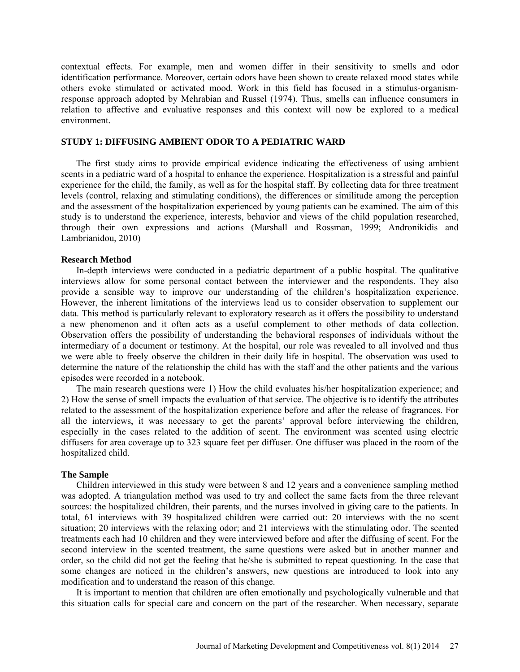contextual effects. For example, men and women differ in their sensitivity to smells and odor identification performance. Moreover, certain odors have been shown to create relaxed mood states while others evoke stimulated or activated mood. Work in this field has focused in a stimulus-organismresponse approach adopted by Mehrabian and Russel (1974). Thus, smells can influence consumers in relation to affective and evaluative responses and this context will now be explored to a medical environment.

# **STUDY 1: DIFFUSING AMBIENT ODOR TO A PEDIATRIC WARD**

The first study aims to provide empirical evidence indicating the effectiveness of using ambient scents in a pediatric ward of a hospital to enhance the experience. Hospitalization is a stressful and painful experience for the child, the family, as well as for the hospital staff. By collecting data for three treatment levels (control, relaxing and stimulating conditions), the differences or similitude among the perception and the assessment of the hospitalization experienced by young patients can be examined. The aim of this study is to understand the experience, interests, behavior and views of the child population researched, through their own expressions and actions (Marshall and Rossman, 1999; Andronikidis and Lambrianidou, 2010)

#### **Research Method**

In-depth interviews were conducted in a pediatric department of a public hospital. The qualitative interviews allow for some personal contact between the interviewer and the respondents. They also provide a sensible way to improve our understanding of the children's hospitalization experience. However, the inherent limitations of the interviews lead us to consider observation to supplement our data. This method is particularly relevant to exploratory research as it offers the possibility to understand a new phenomenon and it often acts as a useful complement to other methods of data collection. Observation offers the possibility of understanding the behavioral responses of individuals without the intermediary of a document or testimony. At the hospital, our role was revealed to all involved and thus we were able to freely observe the children in their daily life in hospital. The observation was used to determine the nature of the relationship the child has with the staff and the other patients and the various episodes were recorded in a notebook.

The main research questions were 1) How the child evaluates his/her hospitalization experience; and 2) How the sense of smell impacts the evaluation of that service. The objective is to identify the attributes related to the assessment of the hospitalization experience before and after the release of fragrances. For all the interviews, it was necessary to get the parents' approval before interviewing the children, especially in the cases related to the addition of scent. The environment was scented using electric diffusers for area coverage up to 323 square feet per diffuser. One diffuser was placed in the room of the hospitalized child.

#### **The Sample**

Children interviewed in this study were between 8 and 12 years and a convenience sampling method was adopted. A triangulation method was used to try and collect the same facts from the three relevant sources: the hospitalized children, their parents, and the nurses involved in giving care to the patients. In total, 61 interviews with 39 hospitalized children were carried out: 20 interviews with the no scent situation; 20 interviews with the relaxing odor; and 21 interviews with the stimulating odor. The scented treatments each had 10 children and they were interviewed before and after the diffusing of scent. For the second interview in the scented treatment, the same questions were asked but in another manner and order, so the child did not get the feeling that he/she is submitted to repeat questioning. In the case that some changes are noticed in the children's answers, new questions are introduced to look into any modification and to understand the reason of this change.

It is important to mention that children are often emotionally and psychologically vulnerable and that this situation calls for special care and concern on the part of the researcher. When necessary, separate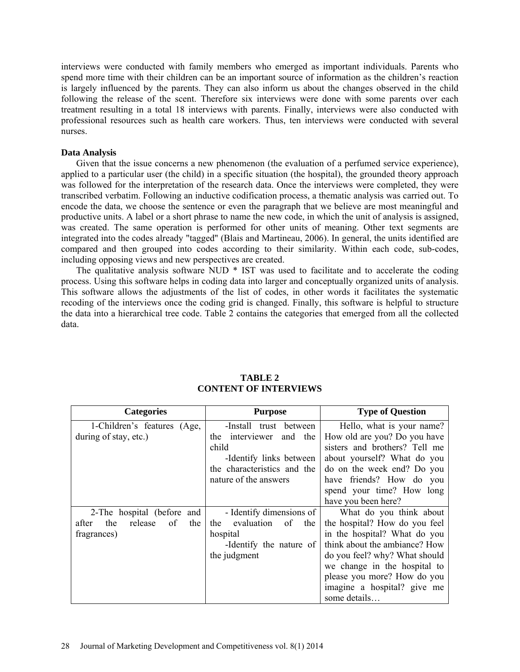interviews were conducted with family members who emerged as important individuals. Parents who spend more time with their children can be an important source of information as the children's reaction is largely influenced by the parents. They can also inform us about the changes observed in the child following the release of the scent. Therefore six interviews were done with some parents over each treatment resulting in a total 18 interviews with parents. Finally, interviews were also conducted with professional resources such as health care workers. Thus, ten interviews were conducted with several nurses.

# **Data Analysis**

Given that the issue concerns a new phenomenon (the evaluation of a perfumed service experience), applied to a particular user (the child) in a specific situation (the hospital), the grounded theory approach was followed for the interpretation of the research data. Once the interviews were completed, they were transcribed verbatim. Following an inductive codification process, a thematic analysis was carried out. To encode the data, we choose the sentence or even the paragraph that we believe are most meaningful and productive units. A label or a short phrase to name the new code, in which the unit of analysis is assigned, was created. The same operation is performed for other units of meaning. Other text segments are integrated into the codes already "tagged" (Blais and Martineau, 2006). In general, the units identified are compared and then grouped into codes according to their similarity. Within each code, sub-codes, including opposing views and new perspectives are created.

The qualitative analysis software NUD  $*$  IST was used to facilitate and to accelerate the coding process. Using this software helps in coding data into larger and conceptually organized units of analysis. This software allows the adjustments of the list of codes, in other words it facilitates the systematic recoding of the interviews once the coding grid is changed. Finally, this software is helpful to structure the data into a hierarchical tree code. Table 2 contains the categories that emerged from all the collected data.

| <b>Categories</b>                    | <b>Purpose</b>              | <b>Type of Question</b>       |
|--------------------------------------|-----------------------------|-------------------------------|
| 1-Children's features (Age,          | -Install trust between      | Hello, what is your name?     |
| during of stay, etc.)                | the interviewer<br>and the  | How old are you? Do you have  |
|                                      | child                       | sisters and brothers? Tell me |
|                                      | -Identify links between     | about yourself? What do you   |
|                                      | the characteristics and the | do on the week end? Do you    |
|                                      | nature of the answers       | have friends? How do you      |
|                                      |                             | spend your time? How long     |
|                                      |                             | have you been here?           |
| 2-The hospital (before and           | - Identify dimensions of    | What do you think about       |
| the<br>release<br>of<br>the<br>after | evaluation<br>of the<br>the | the hospital? How do you feel |
| fragrances)                          | hospital                    | in the hospital? What do you  |
|                                      | -Identify the nature of     | think about the ambiance? How |
|                                      | the judgment                | do you feel? why? What should |
|                                      |                             | we change in the hospital to  |
|                                      |                             | please you more? How do you   |
|                                      |                             | imagine a hospital? give me   |
|                                      |                             | some details                  |

# **TABLE 2 CONTENT OF INTERVIEWS**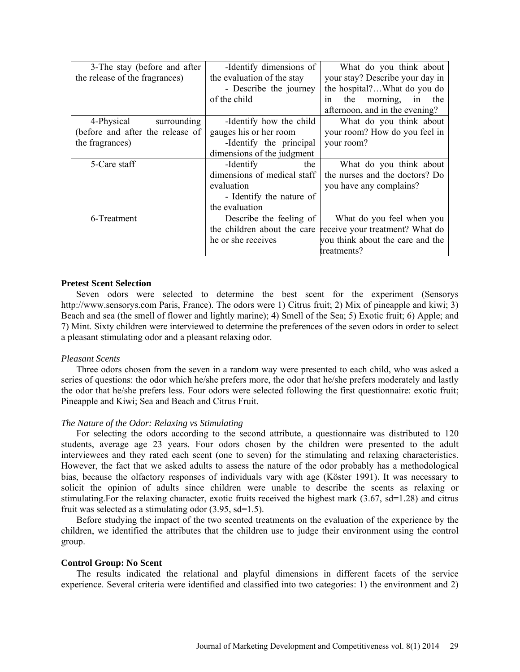| 3-The stay (before and after     | -Identify dimensions of     | What do you think about          |
|----------------------------------|-----------------------------|----------------------------------|
| the release of the fragrances)   | the evaluation of the stay  | your stay? Describe your day in  |
|                                  | - Describe the journey      | the hospital?What do you do      |
|                                  | of the child                | the<br>morning, in<br>the<br>1n  |
|                                  |                             | afternoon, and in the evening?   |
| 4-Physical<br>surrounding        | -Identify how the child     | What do you think about          |
| (before and after the release of | gauges his or her room      | your room? How do you feel in    |
| the fragrances)                  | -Identify the principal     | your room?                       |
|                                  | dimensions of the judgment  |                                  |
| 5-Care staff                     | -Identify<br>the            | What do you think about          |
|                                  | dimensions of medical staff | the nurses and the doctors? Do   |
|                                  | evaluation                  | you have any complains?          |
|                                  | - Identify the nature of    |                                  |
|                                  | the evaluation              |                                  |
| 6-Treatment                      | Describe the feeling of     | What do you feel when you        |
|                                  | the children about the care | receive your treatment? What do  |
|                                  | he or she receives          | you think about the care and the |
|                                  |                             | treatments?                      |

### **Pretest Scent Selection**

Seven odors were selected to determine the best scent for the experiment (Sensorys http://www.sensorys.com Paris, France). The odors were 1) Citrus fruit; 2) Mix of pineapple and kiwi; 3) Beach and sea (the smell of flower and lightly marine); 4) Smell of the Sea; 5) Exotic fruit; 6) Apple; and 7) Mint. Sixty children were interviewed to determine the preferences of the seven odors in order to select a pleasant stimulating odor and a pleasant relaxing odor.

#### *Pleasant Scents*

Three odors chosen from the seven in a random way were presented to each child, who was asked a series of questions: the odor which he/she prefers more, the odor that he/she prefers moderately and lastly the odor that he/she prefers less. Four odors were selected following the first questionnaire: exotic fruit; Pineapple and Kiwi; Sea and Beach and Citrus Fruit.

# *The Nature of the Odor: Relaxing vs Stimulating*

For selecting the odors according to the second attribute, a questionnaire was distributed to 120 students, average age 23 years. Four odors chosen by the children were presented to the adult interviewees and they rated each scent (one to seven) for the stimulating and relaxing characteristics. However, the fact that we asked adults to assess the nature of the odor probably has a methodological bias, because the olfactory responses of individuals vary with age (Köster 1991). It was necessary to solicit the opinion of adults since children were unable to describe the scents as relaxing or stimulating.For the relaxing character, exotic fruits received the highest mark (3.67, sd=1.28) and citrus fruit was selected as a stimulating odor (3.95, sd=1.5).

Before studying the impact of the two scented treatments on the evaluation of the experience by the children, we identified the attributes that the children use to judge their environment using the control group.

#### **Control Group: No Scent**

The results indicated the relational and playful dimensions in different facets of the service experience. Several criteria were identified and classified into two categories: 1) the environment and 2)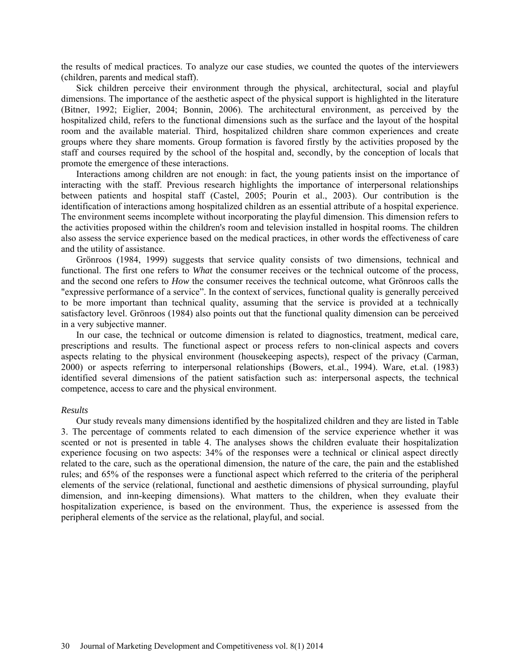the results of medical practices. To analyze our case studies, we counted the quotes of the interviewers (children, parents and medical staff).

Sick children perceive their environment through the physical, architectural, social and playful dimensions. The importance of the aesthetic aspect of the physical support is highlighted in the literature (Bitner, 1992; Eiglier, 2004; Bonnin, 2006). The architectural environment, as perceived by the hospitalized child, refers to the functional dimensions such as the surface and the layout of the hospital room and the available material. Third, hospitalized children share common experiences and create groups where they share moments. Group formation is favored firstly by the activities proposed by the staff and courses required by the school of the hospital and, secondly, by the conception of locals that promote the emergence of these interactions.

Interactions among children are not enough: in fact, the young patients insist on the importance of interacting with the staff. Previous research highlights the importance of interpersonal relationships between patients and hospital staff (Castel, 2005; Pourin et al., 2003). Our contribution is the identification of interactions among hospitalized children as an essential attribute of a hospital experience. The environment seems incomplete without incorporating the playful dimension. This dimension refers to the activities proposed within the children's room and television installed in hospital rooms. The children also assess the service experience based on the medical practices, in other words the effectiveness of care and the utility of assistance.

Grönroos (1984, 1999) suggests that service quality consists of two dimensions, technical and functional. The first one refers to *What* the consumer receives or the technical outcome of the process, and the second one refers to *How* the consumer receives the technical outcome, what Grönroos calls the "expressive performance of a service". In the context of services, functional quality is generally perceived to be more important than technical quality, assuming that the service is provided at a technically satisfactory level. Grönroos (1984) also points out that the functional quality dimension can be perceived in a very subjective manner.

In our case, the technical or outcome dimension is related to diagnostics, treatment, medical care, prescriptions and results. The functional aspect or process refers to non-clinical aspects and covers aspects relating to the physical environment (housekeeping aspects), respect of the privacy (Carman, 2000) or aspects referring to interpersonal relationships (Bowers, et.al., 1994). Ware, et.al. (1983) identified several dimensions of the patient satisfaction such as: interpersonal aspects, the technical competence, access to care and the physical environment.

#### *Results*

Our study reveals many dimensions identified by the hospitalized children and they are listed in Table 3. The percentage of comments related to each dimension of the service experience whether it was scented or not is presented in table 4. The analyses shows the children evaluate their hospitalization experience focusing on two aspects: 34% of the responses were a technical or clinical aspect directly related to the care, such as the operational dimension, the nature of the care, the pain and the established rules; and 65% of the responses were a functional aspect which referred to the criteria of the peripheral elements of the service (relational, functional and aesthetic dimensions of physical surrounding, playful dimension, and inn-keeping dimensions). What matters to the children, when they evaluate their hospitalization experience, is based on the environment. Thus, the experience is assessed from the peripheral elements of the service as the relational, playful, and social.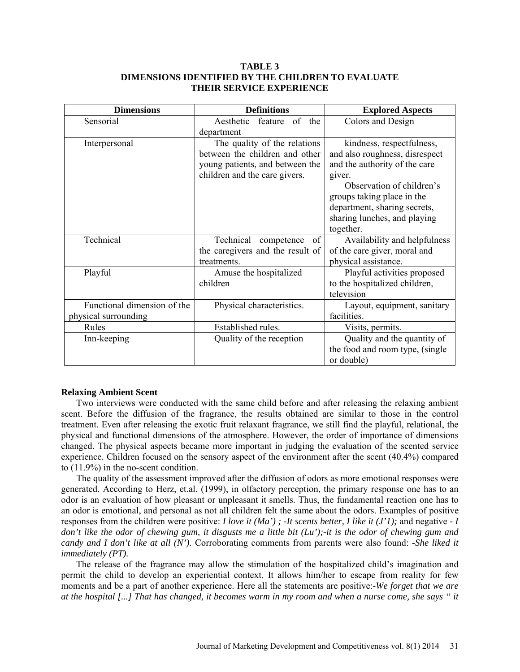# **TABLE 3 DIMENSIONS IDENTIFIED BY THE CHILDREN TO EVALUATE THEIR SERVICE EXPERIENCE**

| <b>Dimensions</b>           | <b>Definitions</b>               | <b>Explored Aspects</b>         |
|-----------------------------|----------------------------------|---------------------------------|
| Sensorial                   | Aesthetic<br>feature of the      | Colors and Design               |
|                             | department                       |                                 |
| Interpersonal               | The quality of the relations     | kindness, respectfulness,       |
|                             | between the children and other   | and also roughness, disrespect  |
|                             | young patients, and between the  | and the authority of the care   |
|                             | children and the care givers.    | giver.                          |
|                             |                                  | Observation of children's       |
|                             |                                  | groups taking place in the      |
|                             |                                  | department, sharing secrets,    |
|                             |                                  | sharing lunches, and playing    |
|                             |                                  | together.                       |
| Technical                   | Technical competence of          | Availability and helpfulness    |
|                             | the caregivers and the result of | of the care giver, moral and    |
|                             | treatments.                      | physical assistance.            |
| Playful                     | Amuse the hospitalized           | Playful activities proposed     |
|                             | children                         | to the hospitalized children,   |
|                             |                                  | television                      |
| Functional dimension of the | Physical characteristics.        | Layout, equipment, sanitary     |
| physical surrounding        |                                  | facilities.                     |
| Rules                       | Established rules.               | Visits, permits.                |
| Inn-keeping                 | Quality of the reception         | Quality and the quantity of     |
|                             |                                  | the food and room type, (single |
|                             |                                  | or double)                      |

# **Relaxing Ambient Scent**

Two interviews were conducted with the same child before and after releasing the relaxing ambient scent. Before the diffusion of the fragrance, the results obtained are similar to those in the control treatment. Even after releasing the exotic fruit relaxant fragrance, we still find the playful, relational, the physical and functional dimensions of the atmosphere. However, the order of importance of dimensions changed. The physical aspects became more important in judging the evaluation of the scented service experience. Children focused on the sensory aspect of the environment after the scent (40.4%) compared to (11.9%) in the no-scent condition.

The quality of the assessment improved after the diffusion of odors as more emotional responses were generated. According to Herz, et.al. (1999), in olfactory perception, the primary response one has to an odor is an evaluation of how pleasant or unpleasant it smells. Thus, the fundamental reaction one has to an odor is emotional, and personal as not all children felt the same about the odors. Examples of positive responses from the children were positive: *I love it (Ma') ; -It scents better, I like it (J'1);* and negative *- I don't like the odor of chewing gum, it disgusts me a little bit (Lu');-it is the odor of chewing gum and candy and I don't like at all (N').* Corroborating comments from parents were also found: *-She liked it immediately (PT).*

The release of the fragrance may allow the stimulation of the hospitalized child's imagination and permit the child to develop an experiential context. It allows him/her to escape from reality for few moments and be a part of another experience. Here all the statements are positive:*-We forget that we are at the hospital [...] That has changed, it becomes warm in my room and when a nurse come, she says " it*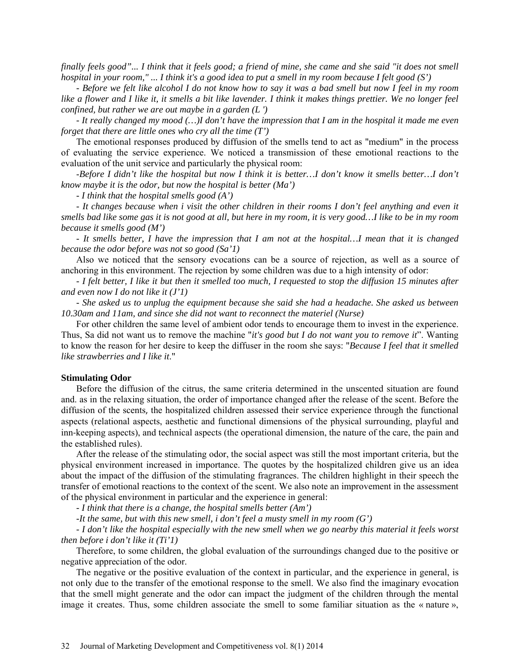*finally feels good"... I think that it feels good; a friend of mine, she came and she said "it does not smell hospital in your room," ... I think it's a good idea to put a smell in my room because I felt good (S')*

*- Before we felt like alcohol I do not know how to say it was a bad smell but now I feel in my room like a flower and I like it, it smells a bit like lavender. I think it makes things prettier. We no longer feel confined, but rather we are out maybe in a garden (L ')*

*- It really changed my mood (…)I don't have the impression that I am in the hospital it made me even forget that there are little ones who cry all the time (T')*

The emotional responses produced by diffusion of the smells tend to act as "medium" in the process of evaluating the service experience. We noticed a transmission of these emotional reactions to the evaluation of the unit service and particularly the physical room:

-*Before I didn't like the hospital but now I think it is better…I don't know it smells better…I don't know maybe it is the odor, but now the hospital is better (Ma')*

*- I think that the hospital smells good (A')*

*- It changes because when i visit the other children in their rooms I don't feel anything and even it smells bad like some gas it is not good at all, but here in my room, it is very good…I like to be in my room because it smells good (M')*

*- It smells better, I have the impression that I am not at the hospital…I mean that it is changed because the odor before was not so good (Sa'1)*

Also we noticed that the sensory evocations can be a source of rejection, as well as a source of anchoring in this environment. The rejection by some children was due to a high intensity of odor:

*- I felt better, I like it but then it smelled too much, I requested to stop the diffusion 15 minutes after and even now I do not like it (J'1)*

*- She asked us to unplug the equipment because she said she had a headache. She asked us between 10.30am and 11am, and since she did not want to reconnect the materiel (Nurse)*

For other children the same level of ambient odor tends to encourage them to invest in the experience. Thus, Sa did not want us to remove the machine "*it's good but I do not want you to remove it*". Wanting to know the reason for her desire to keep the diffuser in the room she says: "*Because I feel that it smelled like strawberries and I like it*."

#### **Stimulating Odor**

Before the diffusion of the citrus, the same criteria determined in the unscented situation are found and. as in the relaxing situation, the order of importance changed after the release of the scent. Before the diffusion of the scents, the hospitalized children assessed their service experience through the functional aspects (relational aspects, aesthetic and functional dimensions of the physical surrounding, playful and inn-keeping aspects), and technical aspects (the operational dimension, the nature of the care, the pain and the established rules).

After the release of the stimulating odor, the social aspect was still the most important criteria, but the physical environment increased in importance. The quotes by the hospitalized children give us an idea about the impact of the diffusion of the stimulating fragrances. The children highlight in their speech the transfer of emotional reactions to the context of the scent. We also note an improvement in the assessment of the physical environment in particular and the experience in general:

*- I think that there is a change, the hospital smells better (Am')*

*-It the same, but with this new smell, i don't feel a musty smell in my room (G')*

*- I don't like the hospital especially with the new smell when we go nearby this material it feels worst then before i don't like it (Ti'1)*

Therefore, to some children, the global evaluation of the surroundings changed due to the positive or negative appreciation of the odor.

The negative or the positive evaluation of the context in particular, and the experience in general, is not only due to the transfer of the emotional response to the smell. We also find the imaginary evocation that the smell might generate and the odor can impact the judgment of the children through the mental image it creates. Thus, some children associate the smell to some familiar situation as the « nature »,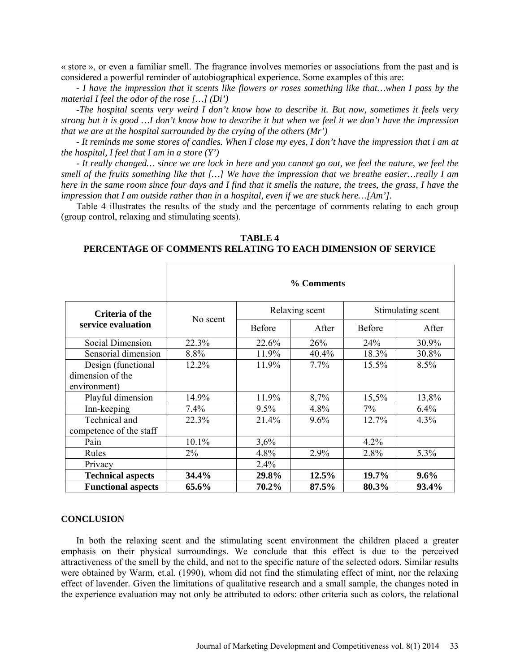« store », or even a familiar smell. The fragrance involves memories or associations from the past and is considered a powerful reminder of autobiographical experience. Some examples of this are:

*- I have the impression that it scents like flowers or roses something like that…when I pass by the material I feel the odor of the rose […] (Di')*

*-The hospital scents very weird I don't know how to describe it. But now, sometimes it feels very strong but it is good …I don't know how to describe it but when we feel it we don't have the impression that we are at the hospital surrounded by the crying of the others (Mr')*

*- It reminds me some stores of candles. When I close my eyes, I don't have the impression that i am at the hospital, I feel that I am in a store (Y')*

*- It really changed… since we are lock in here and you cannot go out, we feel the nature, we feel the smell of the fruits something like that […] We have the impression that we breathe easier…really I am here in the same room since four days and I find that it smells the nature, the trees, the grass, I have the impression that I am outside rather than in a hospital, even if we are stuck here…[Am'].* 

Table 4 illustrates the results of the study and the percentage of comments relating to each group (group control, relaxing and stimulating scents).

|                                       | % Comments |                |       |                   |       |
|---------------------------------------|------------|----------------|-------|-------------------|-------|
| Criteria of the<br>service evaluation | No scent   | Relaxing scent |       | Stimulating scent |       |
|                                       |            | <b>Before</b>  | After | <b>Before</b>     | After |
| <b>Social Dimension</b>               | 22.3%      | 22.6%          | 26%   | 24%               | 30.9% |
| Sensorial dimension                   | 8.8%       | 11.9%          | 40.4% | 18.3%             | 30.8% |
| Design (functional                    | 12.2%      | 11.9%          | 7.7%  | 15.5%             | 8.5%  |
| dimension of the                      |            |                |       |                   |       |
| environment)                          |            |                |       |                   |       |
| Playful dimension                     | 14.9%      | 11.9%          | 8,7%  | 15,5%             | 13,8% |
| Inn-keeping                           | 7.4%       | 9.5%           | 4.8%  | 7%                | 6.4%  |
| Technical and                         | 22.3%      | 21.4%          | 9.6%  | 12.7%             | 4.3%  |
| competence of the staff               |            |                |       |                   |       |
| Pain                                  | 10.1%      | 3,6%           |       | $4.2\%$           |       |
| Rules                                 | $2\%$      | 4.8%           | 2.9%  | 2.8%              | 5.3%  |
| Privacy                               |            | 2.4%           |       |                   |       |
| <b>Technical aspects</b>              | 34.4%      | 29.8%          | 12.5% | 19.7%             | 9.6%  |
| <b>Functional aspects</b>             | 65.6%      | 70.2%          | 87.5% | 80.3%             | 93.4% |

# **TABLE 4 PERCENTAGE OF COMMENTS RELATING TO EACH DIMENSION OF SERVICE**

#### **CONCLUSION**

In both the relaxing scent and the stimulating scent environment the children placed a greater emphasis on their physical surroundings. We conclude that this effect is due to the perceived attractiveness of the smell by the child, and not to the specific nature of the selected odors. Similar results were obtained by Warm, et.al. (1990), whom did not find the stimulating effect of mint, nor the relaxing effect of lavender. Given the limitations of qualitative research and a small sample, the changes noted in the experience evaluation may not only be attributed to odors: other criteria such as colors, the relational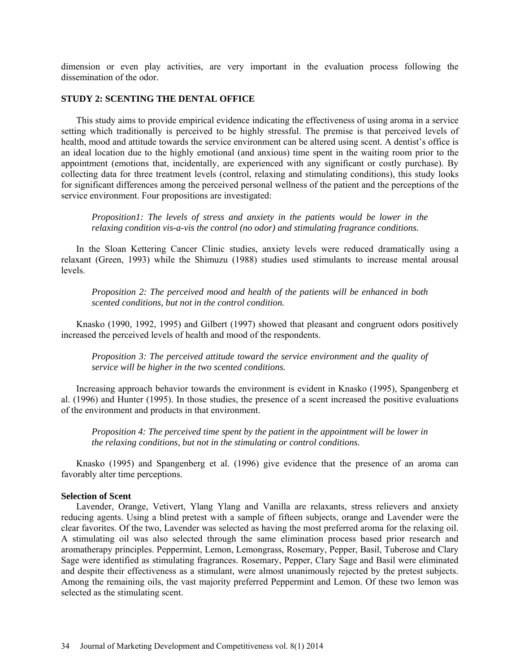dimension or even play activities, are very important in the evaluation process following the dissemination of the odor.

# **STUDY 2: SCENTING THE DENTAL OFFICE**

This study aims to provide empirical evidence indicating the effectiveness of using aroma in a service setting which traditionally is perceived to be highly stressful. The premise is that perceived levels of health, mood and attitude towards the service environment can be altered using scent. A dentist's office is an ideal location due to the highly emotional (and anxious) time spent in the waiting room prior to the appointment (emotions that, incidentally, are experienced with any significant or costly purchase). By collecting data for three treatment levels (control, relaxing and stimulating conditions), this study looks for significant differences among the perceived personal wellness of the patient and the perceptions of the service environment. Four propositions are investigated:

*Proposition1: The levels of stress and anxiety in the patients would be lower in the relaxing condition vis-a-vis the control (no odor) and stimulating fragrance conditions.* 

In the Sloan Kettering Cancer Clinic studies, anxiety levels were reduced dramatically using a relaxant (Green, 1993) while the Shimuzu (1988) studies used stimulants to increase mental arousal levels.

*Proposition 2: The perceived mood and health of the patients will be enhanced in both scented conditions, but not in the control condition.* 

Knasko (1990, 1992, 1995) and Gilbert (1997) showed that pleasant and congruent odors positively increased the perceived levels of health and mood of the respondents.

*Proposition 3: The perceived attitude toward the service environment and the quality of service will be higher in the two scented conditions.* 

Increasing approach behavior towards the environment is evident in Knasko (1995), Spangenberg et al. (1996) and Hunter (1995). In those studies, the presence of a scent increased the positive evaluations of the environment and products in that environment.

*Proposition 4: The perceived time spent by the patient in the appointment will be lower in the relaxing conditions, but not in the stimulating or control conditions.*

Knasko (1995) and Spangenberg et al. (1996) give evidence that the presence of an aroma can favorably alter time perceptions.

# **Selection of Scent**

Lavender, Orange, Vetivert, Ylang Ylang and Vanilla are relaxants, stress relievers and anxiety reducing agents. Using a blind pretest with a sample of fifteen subjects, orange and Lavender were the clear favorites. Of the two, Lavender was selected as having the most preferred aroma for the relaxing oil. A stimulating oil was also selected through the same elimination process based prior research and aromatherapy principles. Peppermint, Lemon, Lemongrass, Rosemary, Pepper, Basil, Tuberose and Clary Sage were identified as stimulating fragrances. Rosemary, Pepper, Clary Sage and Basil were eliminated and despite their effectiveness as a stimulant, were almost unanimously rejected by the pretest subjects. Among the remaining oils, the vast majority preferred Peppermint and Lemon. Of these two lemon was selected as the stimulating scent.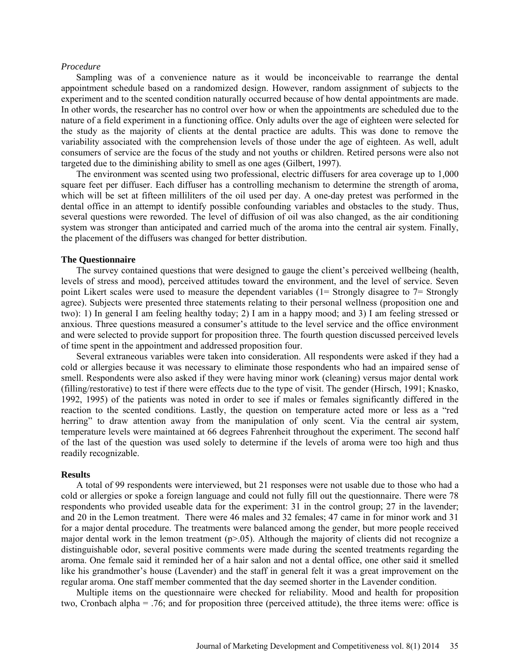#### *Procedure*

Sampling was of a convenience nature as it would be inconceivable to rearrange the dental appointment schedule based on a randomized design. However, random assignment of subjects to the experiment and to the scented condition naturally occurred because of how dental appointments are made. In other words, the researcher has no control over how or when the appointments are scheduled due to the nature of a field experiment in a functioning office. Only adults over the age of eighteen were selected for the study as the majority of clients at the dental practice are adults. This was done to remove the variability associated with the comprehension levels of those under the age of eighteen. As well, adult consumers of service are the focus of the study and not youths or children. Retired persons were also not targeted due to the diminishing ability to smell as one ages (Gilbert, 1997).

The environment was scented using two professional, electric diffusers for area coverage up to 1,000 square feet per diffuser. Each diffuser has a controlling mechanism to determine the strength of aroma, which will be set at fifteen milliliters of the oil used per day. A one-day pretest was performed in the dental office in an attempt to identify possible confounding variables and obstacles to the study. Thus, several questions were reworded. The level of diffusion of oil was also changed, as the air conditioning system was stronger than anticipated and carried much of the aroma into the central air system. Finally, the placement of the diffusers was changed for better distribution.

#### **The Questionnaire**

The survey contained questions that were designed to gauge the client's perceived wellbeing (health, levels of stress and mood), perceived attitudes toward the environment, and the level of service. Seven point Likert scales were used to measure the dependent variables (1= Strongly disagree to 7= Strongly agree). Subjects were presented three statements relating to their personal wellness (proposition one and two): 1) In general I am feeling healthy today; 2) I am in a happy mood; and 3) I am feeling stressed or anxious. Three questions measured a consumer's attitude to the level service and the office environment and were selected to provide support for proposition three. The fourth question discussed perceived levels of time spent in the appointment and addressed proposition four.

Several extraneous variables were taken into consideration. All respondents were asked if they had a cold or allergies because it was necessary to eliminate those respondents who had an impaired sense of smell. Respondents were also asked if they were having minor work (cleaning) versus major dental work (filling/restorative) to test if there were effects due to the type of visit. The gender (Hirsch, 1991; Knasko, 1992, 1995) of the patients was noted in order to see if males or females significantly differed in the reaction to the scented conditions. Lastly, the question on temperature acted more or less as a "red herring" to draw attention away from the manipulation of only scent. Via the central air system, temperature levels were maintained at 66 degrees Fahrenheit throughout the experiment. The second half of the last of the question was used solely to determine if the levels of aroma were too high and thus readily recognizable.

#### **Results**

A total of 99 respondents were interviewed, but 21 responses were not usable due to those who had a cold or allergies or spoke a foreign language and could not fully fill out the questionnaire. There were 78 respondents who provided useable data for the experiment: 31 in the control group; 27 in the lavender; and 20 in the Lemon treatment. There were 46 males and 32 females; 47 came in for minor work and 31 for a major dental procedure. The treatments were balanced among the gender, but more people received major dental work in the lemon treatment  $(p>0.05)$ . Although the majority of clients did not recognize a distinguishable odor, several positive comments were made during the scented treatments regarding the aroma. One female said it reminded her of a hair salon and not a dental office, one other said it smelled like his grandmother's house (Lavender) and the staff in general felt it was a great improvement on the regular aroma. One staff member commented that the day seemed shorter in the Lavender condition.

Multiple items on the questionnaire were checked for reliability. Mood and health for proposition two, Cronbach alpha = .76; and for proposition three (perceived attitude), the three items were: office is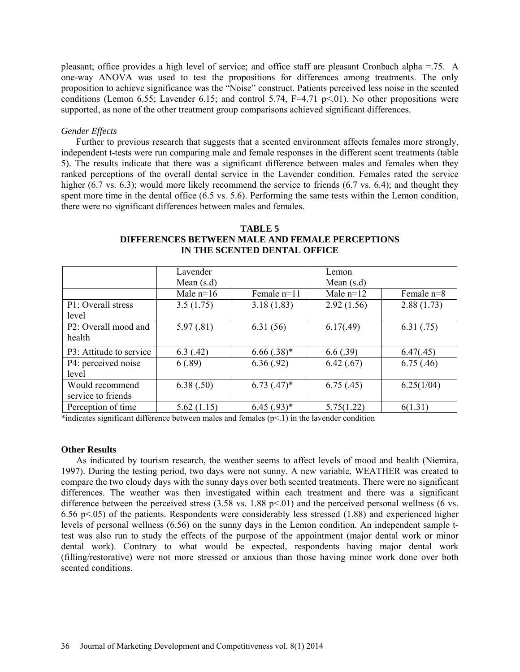pleasant; office provides a high level of service; and office staff are pleasant Cronbach alpha =.75. A one-way ANOVA was used to test the propositions for differences among treatments. The only proposition to achieve significance was the "Noise" construct. Patients perceived less noise in the scented conditions (Lemon 6.55; Lavender 6.15; and control 5.74,  $F=4.71$  p $\leq$ 01). No other propositions were supported, as none of the other treatment group comparisons achieved significant differences.

### *Gender Effects*

Further to previous research that suggests that a scented environment affects females more strongly, independent t-tests were run comparing male and female responses in the different scent treatments (table 5). The results indicate that there was a significant difference between males and females when they ranked perceptions of the overall dental service in the Lavender condition. Females rated the service higher (6.7 vs. 6.3); would more likely recommend the service to friends (6.7 vs. 6.4); and thought they spent more time in the dental office (6.5 vs. 5.6). Performing the same tests within the Lemon condition, there were no significant differences between males and females.

| TABLE 5                                         |
|-------------------------------------------------|
| DIFFERENCES BETWEEN MALE AND FEMALE PERCEPTIONS |
| IN THE SCENTED DENTAL OFFICE                    |

|                         | Lavender     |                  | Lemon        |              |
|-------------------------|--------------|------------------|--------------|--------------|
|                         | Mean $(s.d)$ |                  | Mean $(s.d)$ |              |
|                         | Male $n=16$  | Female n=11      | Male $n=12$  | Female $n=8$ |
| P1: Overall stress      | 3.5(1.75)    | 3.18(1.83)       | 2.92(1.56)   | 2.88(1.73)   |
| level                   |              |                  |              |              |
| P2: Overall mood and    | 5.97(.81)    | 6.31(56)         | 6.17(.49)    | 6.31(.75)    |
| health                  |              |                  |              |              |
| P3: Attitude to service | 6.3(0.42)    | $6.66(.38)*$     | 6.6(.39)     | 6.47(.45)    |
| P4: perceived noise     | 6(.89)       | 6.36(.92)        | 6.42(.67)    | 6.75(.46)    |
| level                   |              |                  |              |              |
| Would recommend         | 6.38(.50)    | $6.73$ $(.47)^*$ | 6.75(.45)    | 6.25(1/04)   |
| service to friends      |              |                  |              |              |
| Perception of time      | 5.62(1.15)   | $6.45(.93)*$     | 5.75(1.22)   | 6(1.31)      |

\*indicates significant difference between males and females  $(p<1)$  in the lavender condition

#### **Other Results**

As indicated by tourism research, the weather seems to affect levels of mood and health (Niemira, 1997). During the testing period, two days were not sunny. A new variable, WEATHER was created to compare the two cloudy days with the sunny days over both scented treatments. There were no significant differences. The weather was then investigated within each treatment and there was a significant difference between the perceived stress  $(3.58 \text{ vs. } 1.88 \text{ p} \le 0.01)$  and the perceived personal wellness (6 vs. 6.56 p $\leq$ 05) of the patients. Respondents were considerably less stressed (1.88) and experienced higher levels of personal wellness (6.56) on the sunny days in the Lemon condition. An independent sample ttest was also run to study the effects of the purpose of the appointment (major dental work or minor dental work). Contrary to what would be expected, respondents having major dental work (filling/restorative) were not more stressed or anxious than those having minor work done over both scented conditions.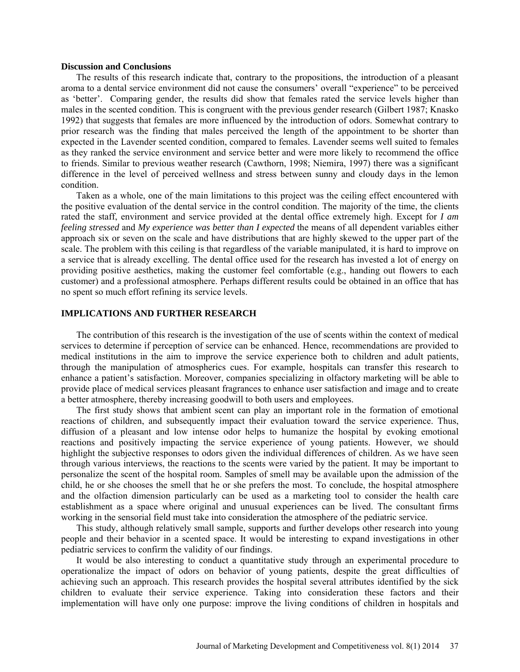#### **Discussion and Conclusions**

The results of this research indicate that, contrary to the propositions, the introduction of a pleasant aroma to a dental service environment did not cause the consumers' overall "experience" to be perceived as 'better'. Comparing gender, the results did show that females rated the service levels higher than males in the scented condition. This is congruent with the previous gender research (Gilbert 1987; Knasko 1992) that suggests that females are more influenced by the introduction of odors. Somewhat contrary to prior research was the finding that males perceived the length of the appointment to be shorter than expected in the Lavender scented condition, compared to females. Lavender seems well suited to females as they ranked the service environment and service better and were more likely to recommend the office to friends. Similar to previous weather research (Cawthorn, 1998; Niemira, 1997) there was a significant difference in the level of perceived wellness and stress between sunny and cloudy days in the lemon condition.

Taken as a whole, one of the main limitations to this project was the ceiling effect encountered with the positive evaluation of the dental service in the control condition. The majority of the time, the clients rated the staff, environment and service provided at the dental office extremely high. Except for *I am feeling stressed* and *My experience was better than I expected* the means of all dependent variables either approach six or seven on the scale and have distributions that are highly skewed to the upper part of the scale. The problem with this ceiling is that regardless of the variable manipulated, it is hard to improve on a service that is already excelling. The dental office used for the research has invested a lot of energy on providing positive aesthetics, making the customer feel comfortable (e.g., handing out flowers to each customer) and a professional atmosphere. Perhaps different results could be obtained in an office that has no spent so much effort refining its service levels.

### **IMPLICATIONS AND FURTHER RESEARCH**

The contribution of this research is the investigation of the use of scents within the context of medical services to determine if perception of service can be enhanced. Hence, recommendations are provided to medical institutions in the aim to improve the service experience both to children and adult patients, through the manipulation of atmospherics cues. For example, hospitals can transfer this research to enhance a patient's satisfaction. Moreover, companies specializing in olfactory marketing will be able to provide place of medical services pleasant fragrances to enhance user satisfaction and image and to create a better atmosphere, thereby increasing goodwill to both users and employees.

The first study shows that ambient scent can play an important role in the formation of emotional reactions of children, and subsequently impact their evaluation toward the service experience. Thus, diffusion of a pleasant and low intense odor helps to humanize the hospital by evoking emotional reactions and positively impacting the service experience of young patients. However, we should highlight the subjective responses to odors given the individual differences of children. As we have seen through various interviews, the reactions to the scents were varied by the patient. It may be important to personalize the scent of the hospital room. Samples of smell may be available upon the admission of the child, he or she chooses the smell that he or she prefers the most. To conclude, the hospital atmosphere and the olfaction dimension particularly can be used as a marketing tool to consider the health care establishment as a space where original and unusual experiences can be lived. The consultant firms working in the sensorial field must take into consideration the atmosphere of the pediatric service.

This study, although relatively small sample, supports and further develops other research into young people and their behavior in a scented space. It would be interesting to expand investigations in other pediatric services to confirm the validity of our findings.

It would be also interesting to conduct a quantitative study through an experimental procedure to operationalize the impact of odors on behavior of young patients, despite the great difficulties of achieving such an approach. This research provides the hospital several attributes identified by the sick children to evaluate their service experience. Taking into consideration these factors and their implementation will have only one purpose: improve the living conditions of children in hospitals and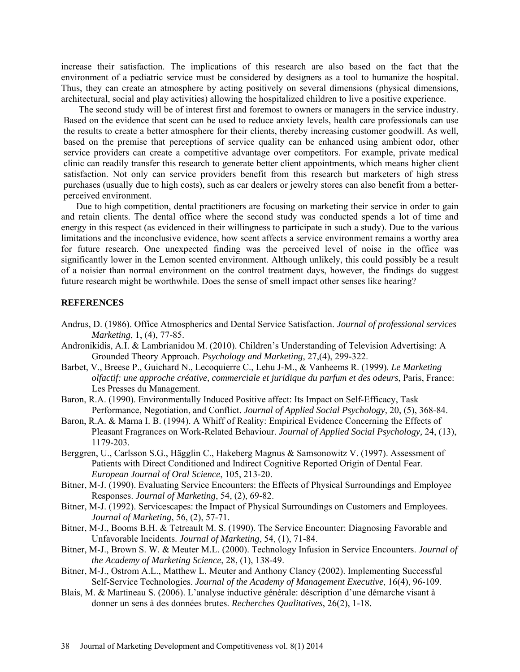increase their satisfaction. The implications of this research are also based on the fact that the environment of a pediatric service must be considered by designers as a tool to humanize the hospital. Thus, they can create an atmosphere by acting positively on several dimensions (physical dimensions, architectural, social and play activities) allowing the hospitalized children to live a positive experience.

The second study will be of interest first and foremost to owners or managers in the service industry. Based on the evidence that scent can be used to reduce anxiety levels, health care professionals can use the results to create a better atmosphere for their clients, thereby increasing customer goodwill. As well, based on the premise that perceptions of service quality can be enhanced using ambient odor, other service providers can create a competitive advantage over competitors. For example, private medical clinic can readily transfer this research to generate better client appointments, which means higher client satisfaction. Not only can service providers benefit from this research but marketers of high stress purchases (usually due to high costs), such as car dealers or jewelry stores can also benefit from a betterperceived environment.

Due to high competition, dental practitioners are focusing on marketing their service in order to gain and retain clients. The dental office where the second study was conducted spends a lot of time and energy in this respect (as evidenced in their willingness to participate in such a study). Due to the various limitations and the inconclusive evidence, how scent affects a service environment remains a worthy area for future research. One unexpected finding was the perceived level of noise in the office was significantly lower in the Lemon scented environment. Although unlikely, this could possibly be a result of a noisier than normal environment on the control treatment days, however, the findings do suggest future research might be worthwhile. Does the sense of smell impact other senses like hearing?

# **REFERENCES**

- Andrus, D. (1986). Office Atmospherics and Dental Service Satisfaction. *Journal of professional services Marketing*, 1, (4), 77-85.
- Andronikidis, A.I. & Lambrianidou M. (2010). Children's Understanding of Television Advertising: A Grounded Theory Approach. *Psychology and Marketing*, 27,(4), 299-322.
- Barbet, V., Breese P., Guichard N., Lecoquierre C., Lehu J-M., & Vanheems R. (1999). *Le Marketing olfactif: une approche créative, commerciale et juridique du parfum et des odeurs*, Paris, France: Les Presses du Management.
- Baron, R.A. (1990). Environmentally Induced Positive affect: Its Impact on Self-Efficacy, Task Performance, Negotiation, and Conflict. *Journal of Applied Social Psychology,* 20, (5), 368-84.
- Baron, R.A. & Marna I. B. (1994). A Whiff of Reality: Empirical Evidence Concerning the Effects of Pleasant Fragrances on Work-Related Behaviour. *Journal of Applied Social Psychology,* 24, (13), 1179-203.
- Berggren, U., Carlsson S.G., Hägglin C., Hakeberg Magnus & Samsonowitz V. (1997). Assessment of Patients with Direct Conditioned and Indirect Cognitive Reported Origin of Dental Fear. *European Journal of Oral Science*, 105, 213-20.
- Bitner, M-J. (1990). Evaluating Service Encounters: the Effects of Physical Surroundings and Employee Responses. *Journal of Marketing*, 54, (2), 69-82.
- Bitner, M-J. (1992). Servicescapes: the Impact of Physical Surroundings on Customers and Employees. *Journal of Marketing*, 56, (2), 57-71.
- Bitner, M-J., Booms B.H. & Tetreault M. S. (1990). The Service Encounter: Diagnosing Favorable and Unfavorable Incidents. *Journal of Marketing*, 54, (1), 71-84.
- Bitner, M-J., Brown S. W. & Meuter M.L. (2000). Technology Infusion in Service Encounters. *Journal of the Academy of Marketing Science*, 28, (1), 138-49.
- Bitner, M-J., Ostrom A.L., Matthew L. Meuter and Anthony Clancy (2002). Implementing Successful Self-Service Technologies. *Journal of the Academy of Management Executive*, 16(4), 96-109.
- Blais, M. & Martineau S. (2006). L'analyse inductive générale: déscription d'une démarche visant à donner un sens à des données brutes. *Recherches Qualitatives*, 26(2), 1-18.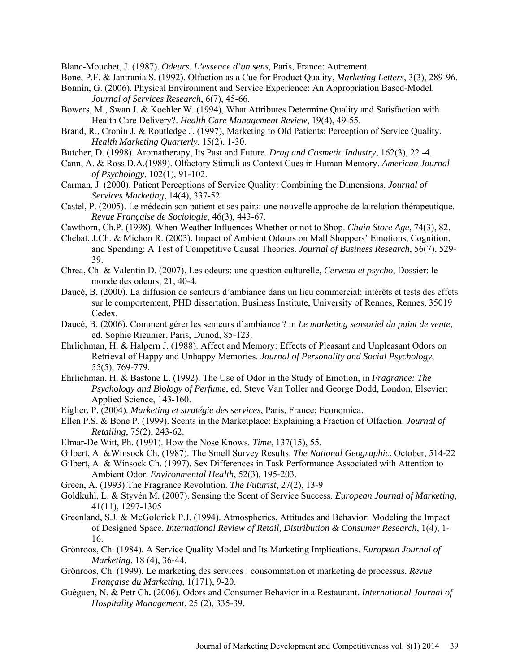Blanc-Mouchet, J. (1987). *Odeurs. L'essence d'un sens,* Paris, France: Autrement.

Bone, P.F. & Jantrania S. (1992). Olfaction as a Cue for Product Quality, *Marketing Letters*, 3(3), 289-96.

- Bonnin, G. (2006). Physical Environment and Service Experience: An Appropriation Based-Model. *Journal of Services Research*, 6(7), 45-66.
- Bowers, M., Swan J. & Koehler W. (1994), What Attributes Determine Quality and Satisfaction with Health Care Delivery?. *Health Care Management Review*, 19(4), 49-55.
- Brand, R., Cronin J. & Routledge J. (1997), Marketing to Old Patients: Perception of Service Quality. *Health Marketing Quarterly*, 15(2), 1-30.
- Butcher, D. (1998). Aromatherapy, Its Past and Future. *Drug and Cosmetic Industry*, 162(3), 22 -4.
- Cann, A. & Ross D.A.(1989). Olfactory Stimuli as Context Cues in Human Memory. *American Journal of Psychology*, 102(1), 91-102.
- Carman, J. (2000). Patient Perceptions of Service Quality: Combining the Dimensions. *Journal of Services Marketing*, 14(4), 337-52.
- Castel, P. (2005). Le médecin son patient et ses pairs: une nouvelle approche de la relation thérapeutique. *Revue Française de Sociologie*, 46(3), 443-67.
- Cawthorn, Ch.P. (1998). When Weather Influences Whether or not to Shop. *Chain Store Age*, 74(3), 82.
- Chebat, J.Ch. & Michon R. (2003). Impact of Ambient Odours on Mall Shoppers' Emotions, Cognition, and Spending: A Test of Competitive Causal Theories. *Journal of Business Research*, 56(7), 529- 39.
- Chrea, Ch. & Valentin D. (2007). Les odeurs: une question culturelle, *Cerveau et psycho*, Dossier: le monde des odeurs, 21, 40-4.
- Daucé, B. (2000). La diffusion de senteurs d'ambiance dans un lieu commercial: intérêts et tests des effets sur le comportement, PHD dissertation, Business Institute, University of Rennes, Rennes, 35019 Cedex.
- Daucé, B. (2006). Comment gérer les senteurs d'ambiance ? in *Le marketing sensoriel du point de vente*, ed. Sophie Rieunier, Paris, Dunod, 85-123.
- Ehrlichman, H. & Halpern J. (1988). Affect and Memory: Effects of Pleasant and Unpleasant Odors on Retrieval of Happy and Unhappy Memories. *Journal of Personality and Social Psychology*, 55(5), 769-779.
- Ehrlichman, H. & Bastone L. (1992). The Use of Odor in the Study of Emotion, in *Fragrance: The Psychology and Biology of Perfume*, ed. Steve Van Toller and George Dodd, London, Elsevier: Applied Science, 143-160.
- Eiglier, P. (2004). *Marketing et stratégie des services*, Paris, France: Economica.
- Ellen P.S. & Bone P. (1999). Scents in the Marketplace: Explaining a Fraction of Olfaction. *Journal of Retailing*, 75(2), 243-62.
- Elmar-De Witt, Ph. (1991). How the Nose Knows. *Time*, 137(15), 55.
- Gilbert, A. &Winsock Ch. (1987). The Smell Survey Results. *The National Geographic*, October, 514-22
- Gilbert, A. & Winsock Ch. (1997). Sex Differences in Task Performance Associated with Attention to Ambient Odor. *Environmental Health*, 52(3), 195-203.
- Green, A. (1993).The Fragrance Revolution. *The Futurist*, 27(2), 13-9
- Goldkuhl, L. & Styvén M. (2007). Sensing the Scent of Service Success. *European Journal of Marketing*, 41(11), 1297-1305
- Greenland, S.J. & McGoldrick P.J. (1994). Atmospherics, Attitudes and Behavior: Modeling the Impact of Designed Space. *International Review of Retail, Distribution & Consumer Research*, 1(4), 1- 16.
- Grönroos, Ch. (1984). A Service Quality Model and Its Marketing Implications. *European Journal of Marketing*, 18 (4), 36-44.
- Grönroos, Ch. (1999). Le marketing des services : consommation et marketing de processus. *Revue Française du Marketing*, 1(171), 9-20.
- Guéguen, N. & Petr Ch**.** (2006). Odors and Consumer Behavior in a Restaurant. *International Journal of Hospitality Management*, 25 (2), 335-39.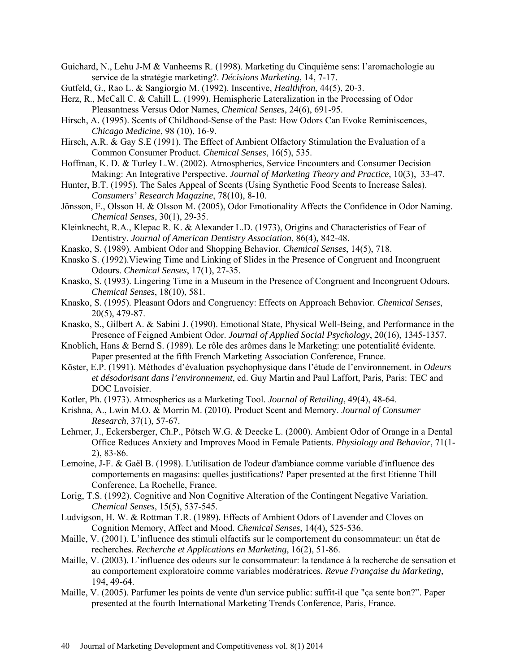- Guichard, N., Lehu J-M & Vanheems R. (1998). Marketing du Cinquième sens: l'aromachologie au service de la stratégie marketing?. *Décisions Marketing*, 14, 7-17.
- Gutfeld, G., Rao L. & Sangiorgio M. (1992). Inscentive, *Healthfron*, 44(5), 20-3.
- Herz, R., McCall C. & Cahill L. (1999). Hemispheric Lateralization in the Processing of Odor Pleasantness Versus Odor Names, *Chemical Senses*, 24(6), 691-95.
- Hirsch, A. (1995). Scents of Childhood-Sense of the Past: How Odors Can Evoke Reminiscences, *Chicago Medicine*, 98 (10), 16-9.
- Hirsch, A.R. & Gay S.E (1991). The Effect of Ambient Olfactory Stimulation the Evaluation of a Common Consumer Product. *Chemical Senses*, 16(5), 535.
- Hoffman, K. D. & Turley L.W. (2002). Atmospherics, Service Encounters and Consumer Decision Making: An Integrative Perspective. *Journal of Marketing Theory and Practice*, 10(3), 33-47.
- Hunter, B.T. (1995). The Sales Appeal of Scents (Using Synthetic Food Scents to Increase Sales). *Consumers' Research Magazine*, 78(10), 8-10.
- Jönsson, F., Olsson H. & Olsson M. (2005), Odor Emotionality Affects the Confidence in Odor Naming. *Chemical Senses*, 30(1), 29-35.
- Kleinknecht, R.A., Klepac R. K. & Alexander L.D. (1973), Origins and Characteristics of Fear of Dentistry. *Journal of American Dentistry Association*, 86(4), 842-48.
- Knasko, S. (1989). Ambient Odor and Shopping Behavior. *Chemical Senses*, 14(5), 718.
- Knasko S. (1992).Viewing Time and Linking of Slides in the Presence of Congruent and Incongruent Odours. *Chemical Senses*, 17(1), 27-35.
- Knasko, S. (1993). Lingering Time in a Museum in the Presence of Congruent and Incongruent Odours. *Chemical Senses*, 18(10), 581.
- Knasko, S. (1995). Pleasant Odors and Congruency: Effects on Approach Behavior. *Chemical Senses*, 20(5), 479-87.
- Knasko, S., Gilbert A. & Sabini J. (1990). Emotional State, Physical Well-Being, and Performance in the Presence of Feigned Ambient Odor. *Journal of Applied Social Psychology*, 20(16), 1345-1357.
- Knoblich, Hans & Bernd S. (1989). Le rôle des arômes dans le Marketing: une potentialité évidente. Paper presented at the fifth French Marketing Association Conference, France.
- Köster, E.P. (1991). Méthodes d'évaluation psychophysique dans l'étude de l'environnement. in *Odeurs et désodorisant dans l'environnement*, ed. Guy Martin and Paul Laffort, Paris, Paris: TEC and DOC Lavoisier.
- Kotler, Ph. (1973). Atmospherics as a Marketing Tool. *Journal of Retailing*, 49(4), 48-64.
- Krishna, A., Lwin M.O. & Morrin M. (2010). Product Scent and Memory. *Journal of Consumer Research*, 37(1), 57-67.
- Lehrner, J., Eckersberger, Ch.P., Pötsch W.G. & Deecke L. (2000). Ambient Odor of Orange in a Dental Office Reduces Anxiety and Improves Mood in Female Patients. *Physiology and Behavior*, 71(1- 2), 83-86.
- Lemoine, J-F. & Gaël B. (1998). L'utilisation de l'odeur d'ambiance comme variable d'influence des comportements en magasins: quelles justifications? Paper presented at the first Etienne Thill Conference, La Rochelle, France.
- Lorig, T.S. (1992). Cognitive and Non Cognitive Alteration of the Contingent Negative Variation. *Chemical Senses*, 15(5), 537-545.
- Ludvigson, H. W. & Rottman T.R. (1989). Effects of Ambient Odors of Lavender and Cloves on Cognition Memory, Affect and Mood. *Chemical Senses*, 14(4), 525-536.
- Maille, V. (2001). L'influence des stimuli olfactifs sur le comportement du consommateur: un état de recherches. *Recherche et Applications en Marketing*, 16(2), 51-86.
- Maille, V. (2003). L'influence des odeurs sur le consommateur: la tendance à la recherche de sensation et au comportement exploratoire comme variables modératrices. *Revue Française du Marketing*, 194, 49-64.
- Maille, V. (2005). Parfumer les points de vente d'un service public: suffit-il que "ça sente bon?". Paper presented at the fourth International Marketing Trends Conference, Paris, France.